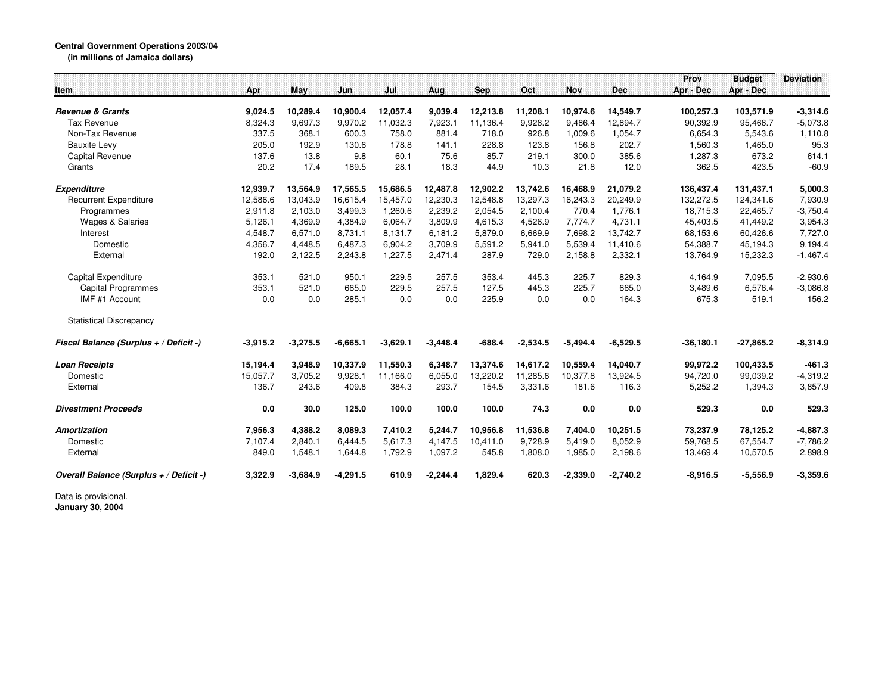## **Central Government Operations 2003/04**

**(in millions of Jamaica dollars)**

|                                         |            |            |            |            |            |            |            |            |            | Prov        | <b>Budget</b> | <b>Deviation</b> |
|-----------------------------------------|------------|------------|------------|------------|------------|------------|------------|------------|------------|-------------|---------------|------------------|
| Item                                    | Apr        | May        | Jun        | Jul        | Aug        | <b>Sep</b> | Oct        | <b>Nov</b> | <b>Dec</b> | Apr - Dec   | Apr - Dec     |                  |
| <b>Revenue &amp; Grants</b>             | 9,024.5    | 10,289.4   | 10,900.4   | 12,057.4   | 9.039.4    | 12,213.8   | 11.208.1   | 10,974.6   | 14,549.7   | 100,257.3   | 103,571.9     | $-3,314.6$       |
| Tax Revenue                             | 8,324.3    | 9,697.3    | 9,970.2    | 11,032.3   | 7,923.1    | 11,136.4   | 9,928.2    | 9,486.4    | 12,894.7   | 90,392.9    | 95,466.7      | $-5,073.8$       |
| Non-Tax Revenue                         | 337.5      | 368.1      | 600.3      | 758.0      | 881.4      | 718.0      | 926.8      | 1,009.6    | 1,054.7    | 6,654.3     | 5,543.6       | 1,110.8          |
| <b>Bauxite Levy</b>                     | 205.0      | 192.9      | 130.6      | 178.8      | 141.1      | 228.8      | 123.8      | 156.8      | 202.7      | 1,560.3     | 1,465.0       | 95.3             |
| <b>Capital Revenue</b>                  | 137.6      | 13.8       | 9.8        | 60.1       | 75.6       | 85.7       | 219.1      | 300.0      | 385.6      | 1,287.3     | 673.2         | 614.1            |
| Grants                                  | 20.2       | 17.4       | 189.5      | 28.1       | 18.3       | 44.9       | 10.3       | 21.8       | 12.0       | 362.5       | 423.5         | $-60.9$          |
| <b>Expenditure</b>                      | 12,939.7   | 13,564.9   | 17,565.5   | 15,686.5   | 12,487.8   | 12,902.2   | 13,742.6   | 16,468.9   | 21,079.2   | 136,437.4   | 131,437.1     | 5,000.3          |
| <b>Recurrent Expenditure</b>            | 12,586.6   | 13.043.9   | 16.615.4   | 15.457.0   | 12,230.3   | 12.548.8   | 13.297.3   | 16,243.3   | 20,249.9   | 132,272.5   | 124,341.6     | 7,930.9          |
| Programmes                              | 2,911.8    | 2.103.0    | 3.499.3    | 1.260.6    | 2.239.2    | 2.054.5    | 2.100.4    | 770.4      | 1,776.1    | 18.715.3    | 22,465.7      | $-3,750.4$       |
| <b>Wages &amp; Salaries</b>             | 5,126.1    | 4,369.9    | 4,384.9    | 6,064.7    | 3,809.9    | 4,615.3    | 4,526.9    | 7,774.7    | 4,731.1    | 45,403.5    | 41,449.2      | 3,954.3          |
| Interest                                | 4,548.7    | 6,571.0    | 8,731.1    | 8,131.7    | 6,181.2    | 5,879.0    | 6,669.9    | 7,698.2    | 13,742.7   | 68,153.6    | 60,426.6      | 7,727.0          |
| Domestic                                | 4,356.7    | 4,448.5    | 6,487.3    | 6,904.2    | 3,709.9    | 5,591.2    | 5,941.0    | 5,539.4    | 11,410.6   | 54,388.7    | 45,194.3      | 9,194.4          |
| External                                | 192.0      | 2,122.5    | 2,243.8    | 1,227.5    | 2,471.4    | 287.9      | 729.0      | 2,158.8    | 2,332.1    | 13,764.9    | 15,232.3      | $-1,467.4$       |
| Capital Expenditure                     | 353.1      | 521.0      | 950.1      | 229.5      | 257.5      | 353.4      | 445.3      | 225.7      | 829.3      | 4,164.9     | 7,095.5       | $-2,930.6$       |
| <b>Capital Programmes</b>               | 353.1      | 521.0      | 665.0      | 229.5      | 257.5      | 127.5      | 445.3      | 225.7      | 665.0      | 3,489.6     | 6,576.4       | $-3,086.8$       |
| IMF #1 Account                          | 0.0        | 0.0        | 285.1      | 0.0        | 0.0        | 225.9      | 0.0        | 0.0        | 164.3      | 675.3       | 519.1         | 156.2            |
| <b>Statistical Discrepancy</b>          |            |            |            |            |            |            |            |            |            |             |               |                  |
| Fiscal Balance (Surplus + / Deficit -)  | $-3,915.2$ | $-3,275.5$ | $-6,665.1$ | $-3,629.1$ | $-3,448.4$ | $-688.4$   | $-2,534.5$ | $-5,494.4$ | $-6,529.5$ | $-36,180.1$ | $-27.865.2$   | $-8,314.9$       |
| <b>Loan Receipts</b>                    | 15,194.4   | 3,948.9    | 10,337.9   | 11,550.3   | 6.348.7    | 13,374.6   | 14,617.2   | 10,559.4   | 14,040.7   | 99,972.2    | 100,433.5     | $-461.3$         |
| Domestic                                | 15.057.7   | 3,705.2    | 9.928.1    | 11,166.0   | 6,055.0    | 13,220.2   | 11.285.6   | 10.377.8   | 13,924.5   | 94.720.0    | 99,039.2      | $-4,319.2$       |
| External                                | 136.7      | 243.6      | 409.8      | 384.3      | 293.7      | 154.5      | 3,331.6    | 181.6      | 116.3      | 5,252.2     | 1,394.3       | 3,857.9          |
| <b>Divestment Proceeds</b>              | 0.0        | 30.0       | 125.0      | 100.0      | 100.0      | 100.0      | 74.3       | 0.0        | 0.0        | 529.3       | 0.0           | 529.3            |
| <b>Amortization</b>                     | 7,956.3    | 4,388.2    | 8,089.3    | 7,410.2    | 5,244.7    | 10,956.8   | 11,536.8   | 7,404.0    | 10,251.5   | 73,237.9    | 78,125.2      | $-4,887.3$       |
| Domestic                                | 7,107.4    | 2,840.1    | 6,444.5    | 5,617.3    | 4,147.5    | 10,411.0   | 9,728.9    | 5,419.0    | 8,052.9    | 59,768.5    | 67,554.7      | $-7,786.2$       |
| External                                | 849.0      | 1,548.1    | 1,644.8    | 1,792.9    | 1,097.2    | 545.8      | 1,808.0    | 1,985.0    | 2,198.6    | 13,469.4    | 10,570.5      | 2,898.9          |
| Overall Balance (Surplus + / Deficit -) | 3,322.9    | $-3,684.9$ | $-4,291.5$ | 610.9      | $-2,244.4$ | 1,829.4    | 620.3      | $-2,339.0$ | $-2,740.2$ | $-8,916.5$  | $-5,556.9$    | $-3,359.6$       |

Data is provisional. **January 30, 2004**